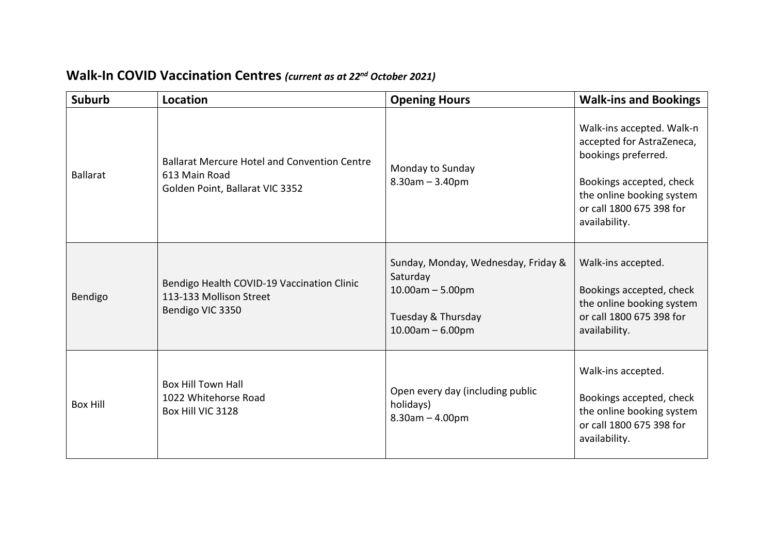| <b>Suburb</b>   | Location                                                                                                | <b>Opening Hours</b>                                                                                              | <b>Walk-ins and Bookings</b>                                                                                                                                                        |
|-----------------|---------------------------------------------------------------------------------------------------------|-------------------------------------------------------------------------------------------------------------------|-------------------------------------------------------------------------------------------------------------------------------------------------------------------------------------|
| <b>Ballarat</b> | <b>Ballarat Mercure Hotel and Convention Centre</b><br>613 Main Road<br>Golden Point, Ballarat VIC 3352 | Monday to Sunday<br>$8.30$ am $- 3.40$ pm                                                                         | Walk-ins accepted. Walk-n<br>accepted for AstraZeneca,<br>bookings preferred.<br>Bookings accepted, check<br>the online booking system<br>or call 1800 675 398 for<br>availability. |
| Bendigo         | Bendigo Health COVID-19 Vaccination Clinic<br>113-133 Mollison Street<br>Bendigo VIC 3350               | Sunday, Monday, Wednesday, Friday &<br>Saturday<br>$10.00am - 5.00pm$<br>Tuesday & Thursday<br>$10.00am - 6.00pm$ | Walk-ins accepted.<br>Bookings accepted, check<br>the online booking system<br>or call 1800 675 398 for<br>availability.                                                            |
| <b>Box Hill</b> | <b>Box Hill Town Hall</b><br>1022 Whitehorse Road<br>Box Hill VIC 3128                                  | Open every day (including public<br>holidays)<br>$8.30$ am $- 4.00$ pm                                            | Walk-ins accepted.<br>Bookings accepted, check<br>the online booking system<br>or call 1800 675 398 for<br>availability.                                                            |

## **Walk-In COVID Vaccination Centres** *(current as at 22nd October 2021)*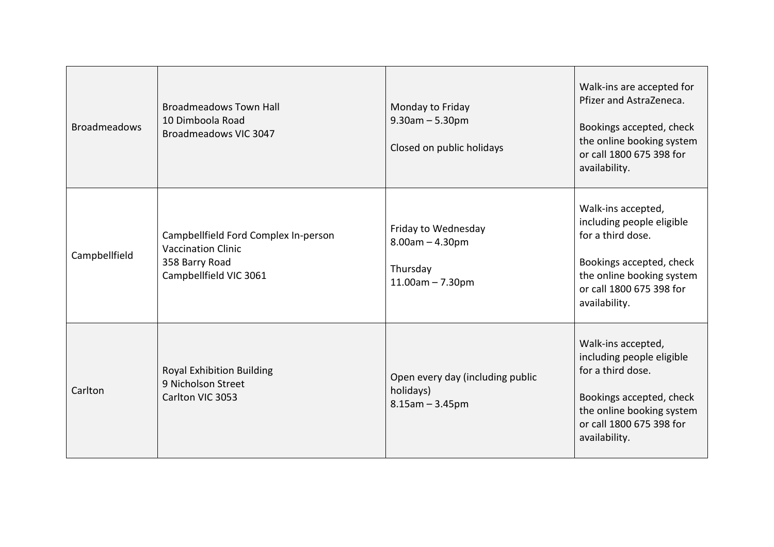| <b>Broadmeadows</b> | <b>Broadmeadows Town Hall</b><br>10 Dimboola Road<br>Broadmeadows VIC 3047                                    | Monday to Friday<br>$9.30$ am $- 5.30$ pm<br>Closed on public holidays      | Walk-ins are accepted for<br>Pfizer and AstraZeneca.<br>Bookings accepted, check<br>the online booking system<br>or call 1800 675 398 for<br>availability.                 |
|---------------------|---------------------------------------------------------------------------------------------------------------|-----------------------------------------------------------------------------|----------------------------------------------------------------------------------------------------------------------------------------------------------------------------|
| Campbellfield       | Campbellfield Ford Complex In-person<br><b>Vaccination Clinic</b><br>358 Barry Road<br>Campbellfield VIC 3061 | Friday to Wednesday<br>$8.00am - 4.30pm$<br>Thursday<br>$11.00$ am - 7.30pm | Walk-ins accepted,<br>including people eligible<br>for a third dose.<br>Bookings accepted, check<br>the online booking system<br>or call 1800 675 398 for<br>availability. |
| Carlton             | <b>Royal Exhibition Building</b><br>9 Nicholson Street<br>Carlton VIC 3053                                    | Open every day (including public<br>holidays)<br>$8.15$ am $- 3.45$ pm      | Walk-ins accepted,<br>including people eligible<br>for a third dose.<br>Bookings accepted, check<br>the online booking system<br>or call 1800 675 398 for<br>availability. |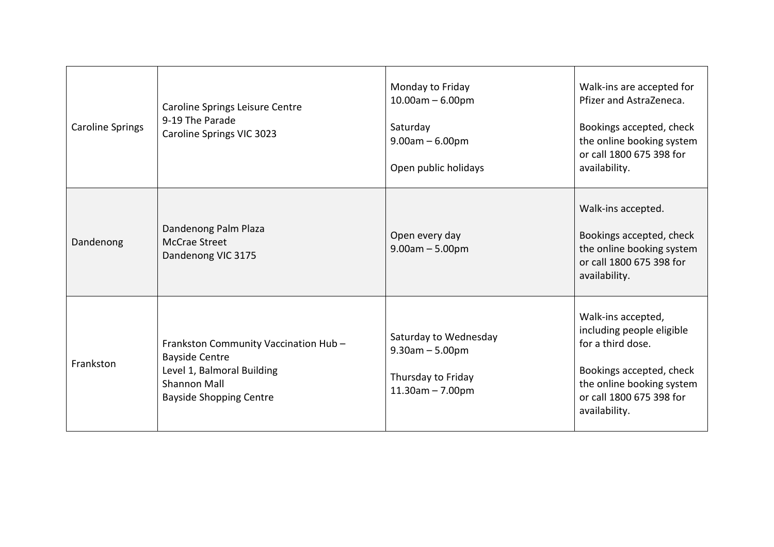| <b>Caroline Springs</b> | Caroline Springs Leisure Centre<br>9-19 The Parade<br>Caroline Springs VIC 3023                                                                      | Monday to Friday<br>$10.00$ am - $6.00$ pm<br>Saturday<br>$9.00am - 6.00pm$<br>Open public holidays | Walk-ins are accepted for<br>Pfizer and AstraZeneca.<br>Bookings accepted, check<br>the online booking system<br>or call 1800 675 398 for<br>availability.                 |
|-------------------------|------------------------------------------------------------------------------------------------------------------------------------------------------|-----------------------------------------------------------------------------------------------------|----------------------------------------------------------------------------------------------------------------------------------------------------------------------------|
| Dandenong               | Dandenong Palm Plaza<br>McCrae Street<br>Dandenong VIC 3175                                                                                          | Open every day<br>$9.00am - 5.00pm$                                                                 | Walk-ins accepted.<br>Bookings accepted, check<br>the online booking system<br>or call 1800 675 398 for<br>availability.                                                   |
| Frankston               | Frankston Community Vaccination Hub-<br><b>Bayside Centre</b><br>Level 1, Balmoral Building<br><b>Shannon Mall</b><br><b>Bayside Shopping Centre</b> | Saturday to Wednesday<br>$9.30$ am $- 5.00$ pm<br>Thursday to Friday<br>$11.30$ am $- 7.00$ pm      | Walk-ins accepted,<br>including people eligible<br>for a third dose.<br>Bookings accepted, check<br>the online booking system<br>or call 1800 675 398 for<br>availability. |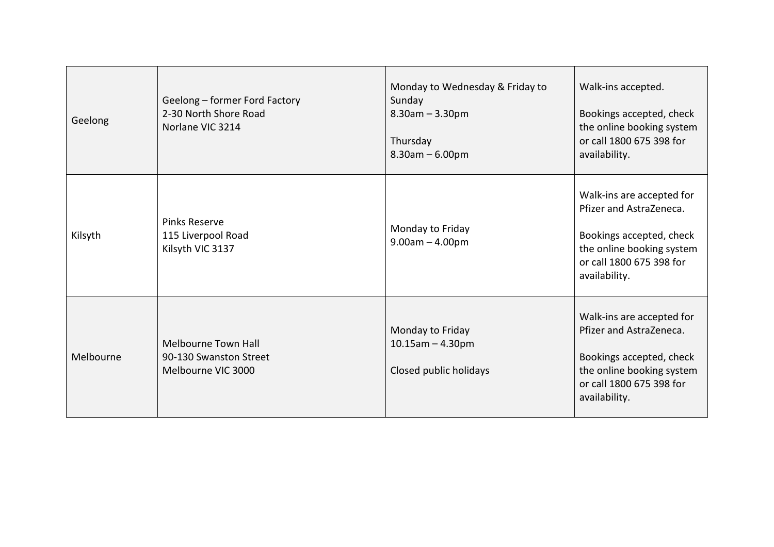| Geelong   | Geelong - former Ford Factory<br>2-30 North Shore Road<br>Norlane VIC 3214 | Monday to Wednesday & Friday to<br>Sunday<br>$8.30$ am $- 3.30$ pm<br>Thursday<br>$8.30$ am $- 6.00$ pm | Walk-ins accepted.<br>Bookings accepted, check<br>the online booking system<br>or call 1800 675 398 for<br>availability.                                   |
|-----------|----------------------------------------------------------------------------|---------------------------------------------------------------------------------------------------------|------------------------------------------------------------------------------------------------------------------------------------------------------------|
| Kilsyth   | Pinks Reserve<br>115 Liverpool Road<br>Kilsyth VIC 3137                    | Monday to Friday<br>$9.00am - 4.00pm$                                                                   | Walk-ins are accepted for<br>Pfizer and AstraZeneca.<br>Bookings accepted, check<br>the online booking system<br>or call 1800 675 398 for<br>availability. |
| Melbourne | Melbourne Town Hall<br>90-130 Swanston Street<br>Melbourne VIC 3000        | Monday to Friday<br>$10.15$ am $- 4.30$ pm<br>Closed public holidays                                    | Walk-ins are accepted for<br>Pfizer and AstraZeneca.<br>Bookings accepted, check<br>the online booking system<br>or call 1800 675 398 for<br>availability. |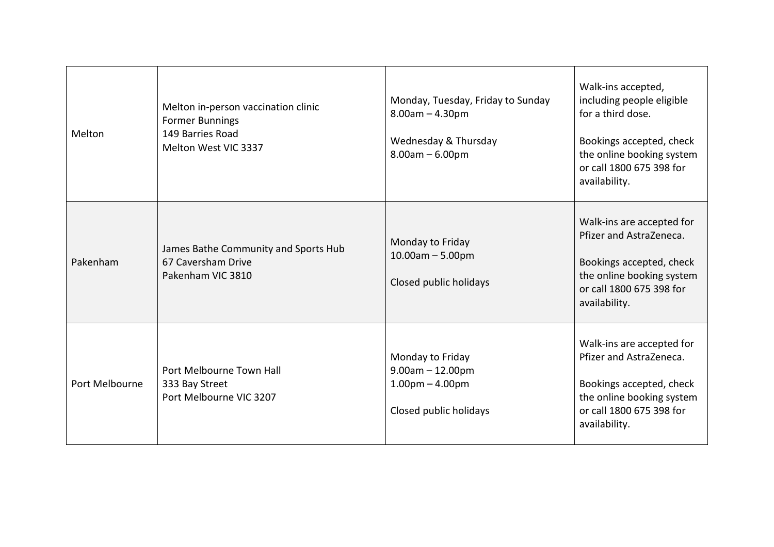| Melton         | Melton in-person vaccination clinic<br><b>Former Bunnings</b><br>149 Barries Road<br>Melton West VIC 3337 | Monday, Tuesday, Friday to Sunday<br>$8.00am - 4.30pm$<br>Wednesday & Thursday<br>$8.00am - 6.00pm$ | Walk-ins accepted,<br>including people eligible<br>for a third dose.<br>Bookings accepted, check<br>the online booking system<br>or call 1800 675 398 for<br>availability. |
|----------------|-----------------------------------------------------------------------------------------------------------|-----------------------------------------------------------------------------------------------------|----------------------------------------------------------------------------------------------------------------------------------------------------------------------------|
| Pakenham       | James Bathe Community and Sports Hub<br>67 Caversham Drive<br>Pakenham VIC 3810                           | Monday to Friday<br>$10.00$ am $- 5.00$ pm<br>Closed public holidays                                | Walk-ins are accepted for<br>Pfizer and AstraZeneca.<br>Bookings accepted, check<br>the online booking system<br>or call 1800 675 398 for<br>availability.                 |
| Port Melbourne | Port Melbourne Town Hall<br>333 Bay Street<br>Port Melbourne VIC 3207                                     | Monday to Friday<br>$9.00am - 12.00pm$<br>$1.00pm - 4.00pm$<br>Closed public holidays               | Walk-ins are accepted for<br>Pfizer and AstraZeneca.<br>Bookings accepted, check<br>the online booking system<br>or call 1800 675 398 for<br>availability.                 |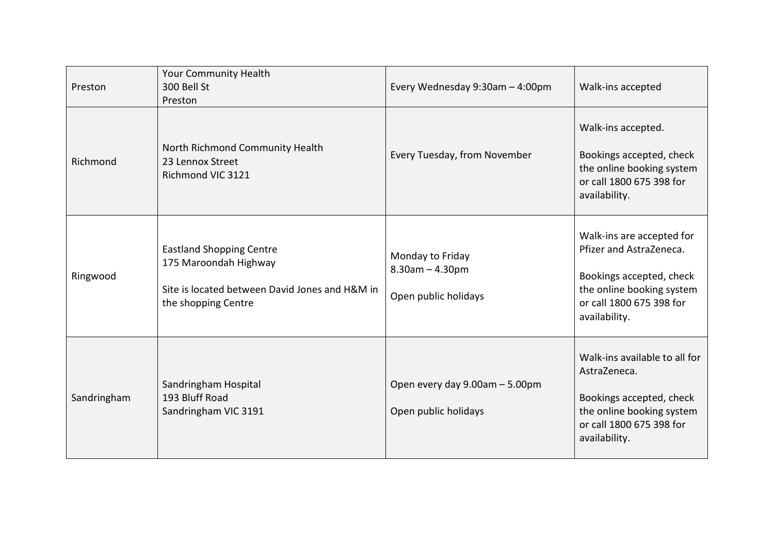| Preston     | <b>Your Community Health</b><br>300 Bell St<br>Preston                                                                            | Every Wednesday 9:30am - 4:00pm                                   | Walk-ins accepted                                                                                                                                          |
|-------------|-----------------------------------------------------------------------------------------------------------------------------------|-------------------------------------------------------------------|------------------------------------------------------------------------------------------------------------------------------------------------------------|
| Richmond    | North Richmond Community Health<br>23 Lennox Street<br>Richmond VIC 3121                                                          | Every Tuesday, from November                                      | Walk-ins accepted.<br>Bookings accepted, check<br>the online booking system<br>or call 1800 675 398 for<br>availability.                                   |
| Ringwood    | <b>Eastland Shopping Centre</b><br>175 Maroondah Highway<br>Site is located between David Jones and H&M in<br>the shopping Centre | Monday to Friday<br>$8.30$ am $- 4.30$ pm<br>Open public holidays | Walk-ins are accepted for<br>Pfizer and AstraZeneca.<br>Bookings accepted, check<br>the online booking system<br>or call 1800 675 398 for<br>availability. |
| Sandringham | Sandringham Hospital<br>193 Bluff Road<br>Sandringham VIC 3191                                                                    | Open every day 9.00am - 5.00pm<br>Open public holidays            | Walk-ins available to all for<br>AstraZeneca.<br>Bookings accepted, check<br>the online booking system<br>or call 1800 675 398 for<br>availability.        |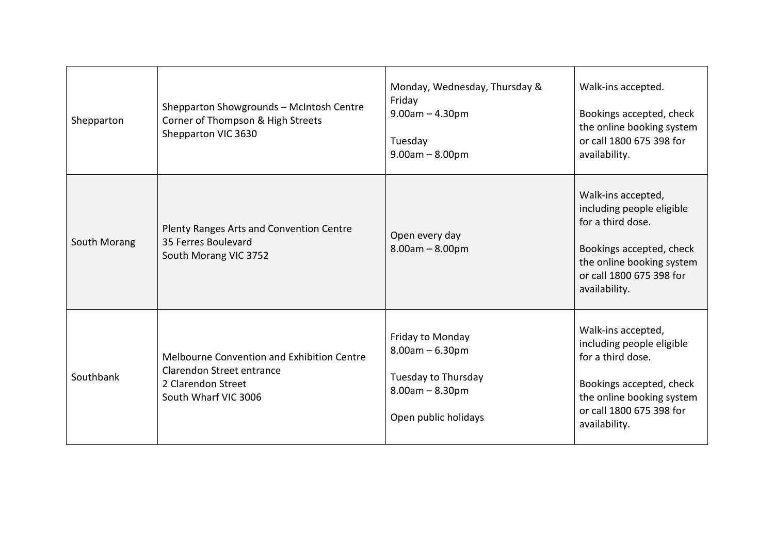| Shepparton   | Shepparton Showgrounds - McIntosh Centre<br>Corner of Thompson & High Streets<br>Shepparton VIC 3630                  | Monday, Wednesday, Thursday &<br>Friday<br>$9.00am - 4.30pm$<br>Tuesday<br>$9.00am - 8.00pm$              | Walk-ins accepted.<br>Bookings accepted, check<br>the online booking system<br>or call 1800 675 398 for<br>availability.                                                   |
|--------------|-----------------------------------------------------------------------------------------------------------------------|-----------------------------------------------------------------------------------------------------------|----------------------------------------------------------------------------------------------------------------------------------------------------------------------------|
| South Morang | Plenty Ranges Arts and Convention Centre<br>35 Ferres Boulevard<br>South Morang VIC 3752                              | Open every day<br>$8.00am - 8.00pm$                                                                       | Walk-ins accepted,<br>including people eligible<br>for a third dose.<br>Bookings accepted, check<br>the online booking system<br>or call 1800 675 398 for<br>availability. |
| Southbank    | Melbourne Convention and Exhibition Centre<br>Clarendon Street entrance<br>2 Clarendon Street<br>South Wharf VIC 3006 | Friday to Monday<br>$8.00am - 6.30pm$<br>Tuesday to Thursday<br>$8.00am - 8.30pm$<br>Open public holidays | Walk-ins accepted,<br>including people eligible<br>for a third dose.<br>Bookings accepted, check<br>the online booking system<br>or call 1800 675 398 for<br>availability. |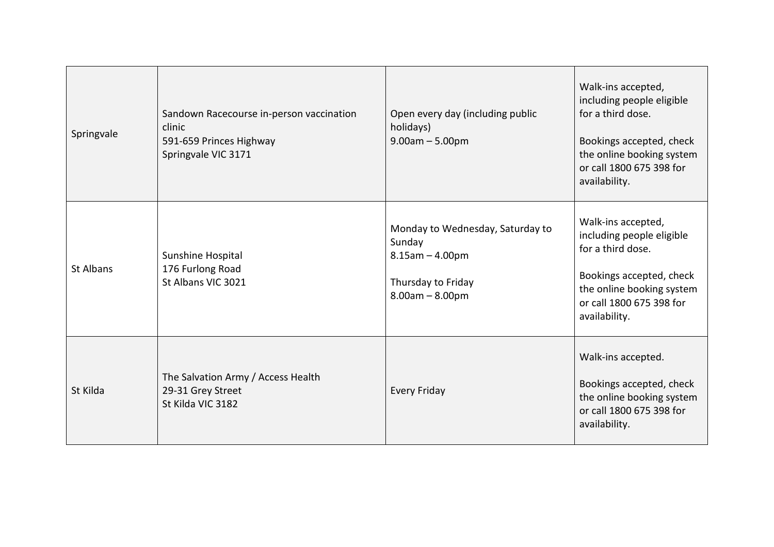| Springvale | Sandown Racecourse in-person vaccination<br>clinic<br>591-659 Princes Highway<br>Springvale VIC 3171 | Open every day (including public<br>holidays)<br>$9.00am - 5.00pm$                                             | Walk-ins accepted,<br>including people eligible<br>for a third dose.<br>Bookings accepted, check<br>the online booking system<br>or call 1800 675 398 for<br>availability. |
|------------|------------------------------------------------------------------------------------------------------|----------------------------------------------------------------------------------------------------------------|----------------------------------------------------------------------------------------------------------------------------------------------------------------------------|
| St Albans  | Sunshine Hospital<br>176 Furlong Road<br>St Albans VIC 3021                                          | Monday to Wednesday, Saturday to<br>Sunday<br>$8.15$ am $- 4.00$ pm<br>Thursday to Friday<br>$8.00am - 8.00pm$ | Walk-ins accepted,<br>including people eligible<br>for a third dose.<br>Bookings accepted, check<br>the online booking system<br>or call 1800 675 398 for<br>availability. |
| St Kilda   | The Salvation Army / Access Health<br>29-31 Grey Street<br>St Kilda VIC 3182                         | <b>Every Friday</b>                                                                                            | Walk-ins accepted.<br>Bookings accepted, check<br>the online booking system<br>or call 1800 675 398 for<br>availability.                                                   |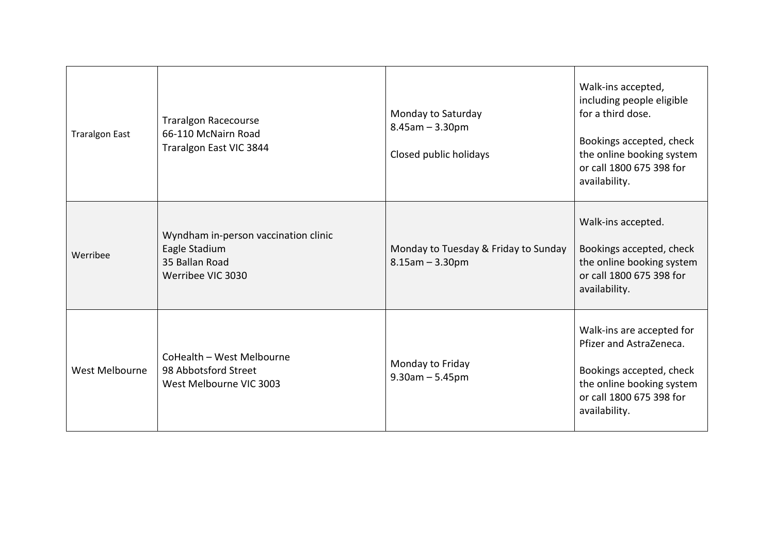| <b>Traralgon East</b> | <b>Traralgon Racecourse</b><br>66-110 McNairn Road<br>Traralgon East VIC 3844                | Monday to Saturday<br>$8.45$ am $- 3.30$ pm<br>Closed public holidays | Walk-ins accepted,<br>including people eligible<br>for a third dose.<br>Bookings accepted, check<br>the online booking system<br>or call 1800 675 398 for<br>availability. |
|-----------------------|----------------------------------------------------------------------------------------------|-----------------------------------------------------------------------|----------------------------------------------------------------------------------------------------------------------------------------------------------------------------|
| Werribee              | Wyndham in-person vaccination clinic<br>Eagle Stadium<br>35 Ballan Road<br>Werribee VIC 3030 | Monday to Tuesday & Friday to Sunday<br>$8.15$ am $- 3.30$ pm         | Walk-ins accepted.<br>Bookings accepted, check<br>the online booking system<br>or call 1800 675 398 for<br>availability.                                                   |
| West Melbourne        | CoHealth - West Melbourne<br>98 Abbotsford Street<br>West Melbourne VIC 3003                 | Monday to Friday<br>$9.30$ am $- 5.45$ pm                             | Walk-ins are accepted for<br>Pfizer and AstraZeneca.<br>Bookings accepted, check<br>the online booking system<br>or call 1800 675 398 for<br>availability.                 |